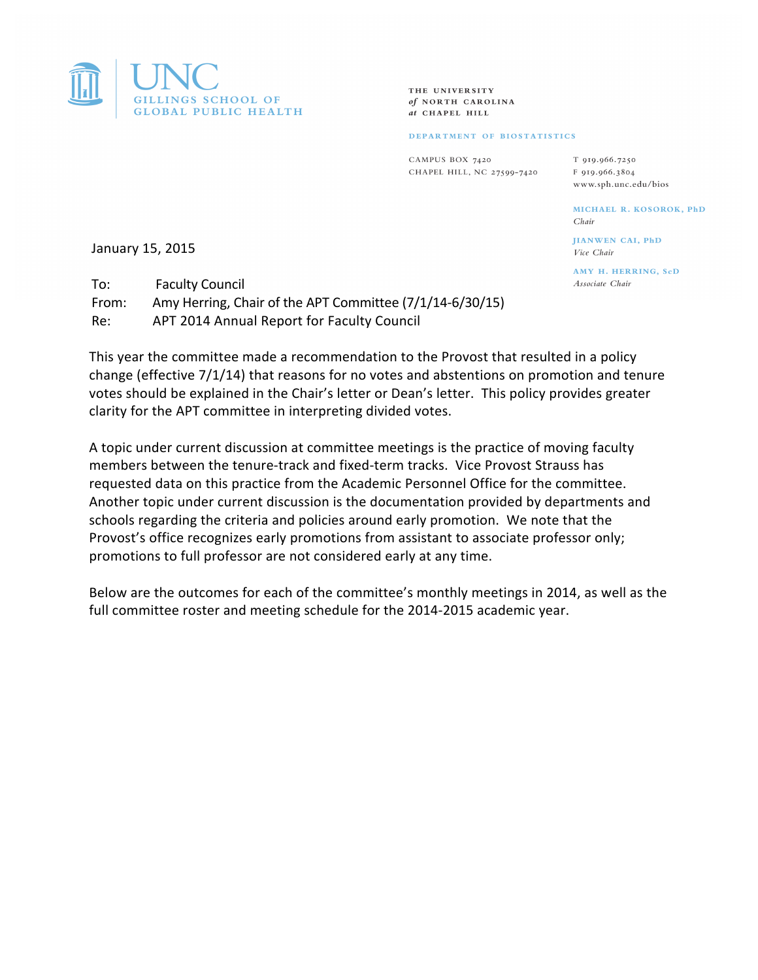

THE UNIVERSITY of NORTH CAROLINA at CHAPEL HILL

## DEPARTMENT OF BIOSTATISTICS

CAMPUS BOX 7420 CHAPEL HILL, NC 27599-7420

T 919.966.7250 F 919.966.3804 www.sph.unc.edu/bios

> MICHAEL R. KOSOROK, PhD Chair

HANWEN CAL PhD Vice Chair

AMY H. HERRING, ScD Associate Chair

January 15, 2015

To: Faculty Council From: Amy Herring, Chair of the APT Committee  $(7/1/14-6/30/15)$ Re: APT 2014 Annual Report for Faculty Council

This year the committee made a recommendation to the Provost that resulted in a policy change (effective  $7/1/14$ ) that reasons for no votes and abstentions on promotion and tenure votes should be explained in the Chair's letter or Dean's letter. This policy provides greater clarity for the APT committee in interpreting divided votes.

A topic under current discussion at committee meetings is the practice of moving faculty members between the tenure-track and fixed-term tracks. Vice Provost Strauss has requested data on this practice from the Academic Personnel Office for the committee. Another topic under current discussion is the documentation provided by departments and schools regarding the criteria and policies around early promotion. We note that the Provost's office recognizes early promotions from assistant to associate professor only; promotions to full professor are not considered early at any time.

Below are the outcomes for each of the committee's monthly meetings in 2014, as well as the full committee roster and meeting schedule for the 2014-2015 academic year.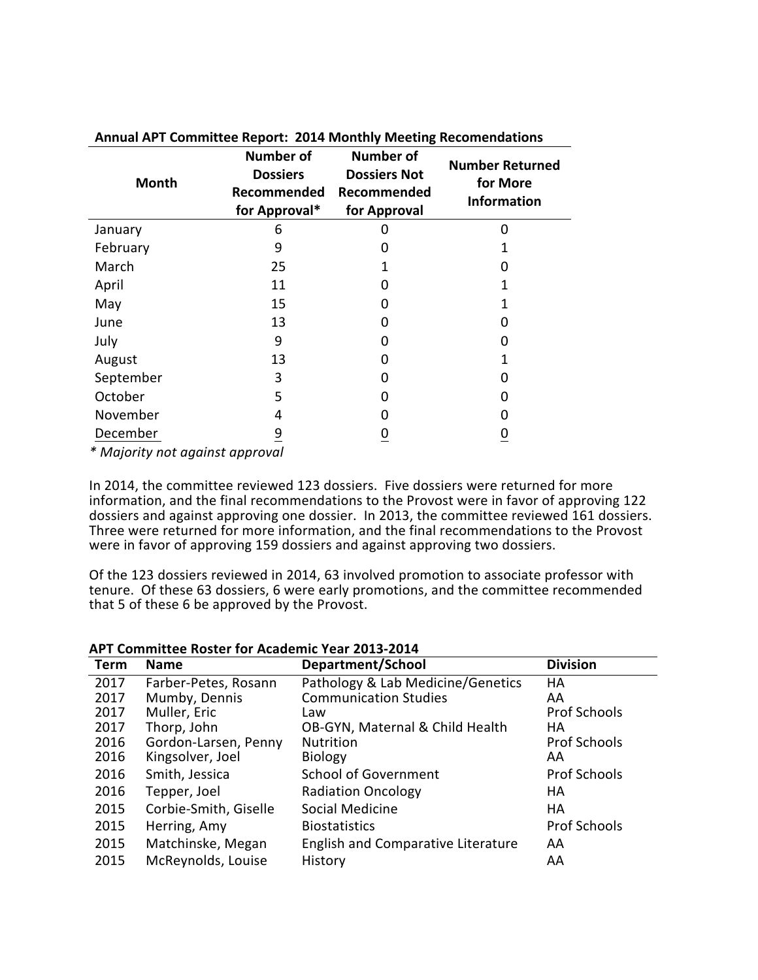| <b>Month</b>                                                   | <b>Number of</b><br><b>Dossiers</b><br>Recommended<br>for Approval* | <b>Number of</b><br><b>Dossiers Not</b><br>Recommended<br>for Approval | <b>Number Returned</b><br>for More<br><b>Information</b> |
|----------------------------------------------------------------|---------------------------------------------------------------------|------------------------------------------------------------------------|----------------------------------------------------------|
| January                                                        | 6                                                                   |                                                                        | 0                                                        |
| February                                                       | 9                                                                   | O                                                                      |                                                          |
| March                                                          | 25                                                                  |                                                                        |                                                          |
| April                                                          | 11                                                                  | 0                                                                      |                                                          |
| May                                                            | 15                                                                  | 0                                                                      |                                                          |
| June                                                           | 13                                                                  | 0                                                                      |                                                          |
| July                                                           | 9                                                                   | O                                                                      |                                                          |
| August                                                         | 13                                                                  | 0                                                                      |                                                          |
| September                                                      | 3                                                                   | ი                                                                      | 0                                                        |
| October                                                        | 5                                                                   | 0                                                                      |                                                          |
| November                                                       | 4                                                                   | O                                                                      |                                                          |
| December<br>* A A a family compared as a stranger and compared | 9                                                                   |                                                                        |                                                          |

**Annual APT Committee Report: 2014 Monthly Meeting Recomendations**

*\* Majority not against approval*

In 2014, the committee reviewed 123 dossiers. Five dossiers were returned for more information, and the final recommendations to the Provost were in favor of approving 122 dossiers and against approving one dossier. In 2013, the committee reviewed 161 dossiers. Three were returned for more information, and the final recommendations to the Provost were in favor of approving 159 dossiers and against approving two dossiers.

Of the 123 dossiers reviewed in 2014, 63 involved promotion to associate professor with tenure. Of these 63 dossiers, 6 were early promotions, and the committee recommended that 5 of these 6 be approved by the Provost.

| Term | <b>Name</b>           | Department/School                         | <b>Division</b>     |
|------|-----------------------|-------------------------------------------|---------------------|
| 2017 | Farber-Petes, Rosann  | Pathology & Lab Medicine/Genetics         | HA                  |
| 2017 | Mumby, Dennis         | <b>Communication Studies</b>              | AA                  |
| 2017 | Muller, Eric          | Law                                       | <b>Prof Schools</b> |
| 2017 | Thorp, John           | OB-GYN, Maternal & Child Health           | HА                  |
| 2016 | Gordon-Larsen, Penny  | <b>Nutrition</b>                          | <b>Prof Schools</b> |
| 2016 | Kingsolver, Joel      | <b>Biology</b>                            | AA                  |
| 2016 | Smith, Jessica        | <b>School of Government</b>               | <b>Prof Schools</b> |
| 2016 | Tepper, Joel          | <b>Radiation Oncology</b>                 | HA                  |
| 2015 | Corbie-Smith, Giselle | Social Medicine                           | HA                  |
| 2015 | Herring, Amy          | <b>Biostatistics</b>                      | <b>Prof Schools</b> |
| 2015 | Matchinske, Megan     | <b>English and Comparative Literature</b> | AA                  |
| 2015 | McReynolds, Louise    | History                                   | AA                  |

## **APT Committee Roster for Academic Year 2013-2014**